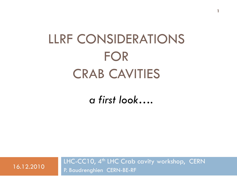# LLRF CONSIDERATIONS FOR CRAB CAVITIES

**1**

*a first look….*

LHC-CC10, 4<sup>th</sup> LHC Crab cavity workshop, CERN 16.12.2010 P. Baudrenghien CERN-BE-RF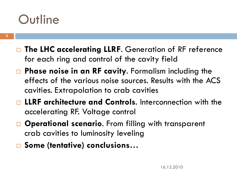### **Outline**

- □ The LHC accelerating LLRF. Generation of RF reference for each ring and control of the cavity field
- **Phase noise in an RF cavity**. Formalism including the effects of the various noise sources. Results with the ACS cavities. Extrapolation to crab cavities
- **LLRF architecture and Controls**. Interconnection with the accelerating RF. Voltage control
- **Operational scenario.** From filling with transparent crab cavities to luminosity leveling
- **Some (tentative) conclusions…**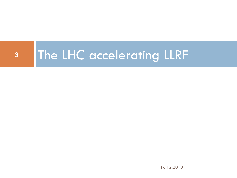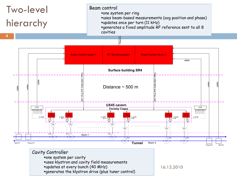

uses klystron and cavity field measurements

updates at every bunch (40 MHz)

generates the klystron drive (plus tuner control)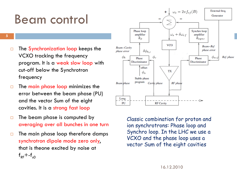### Beam control

**5**

- $\Box$  The Synchronization loop keeps the VCXO tracking the frequency program. It is a weak slow loop with cut-off below the Synchrotron frequency
- $\Box$  The main phase loop minimizes the error between the beam phase (PU) and the vector Sum of the eight cavities. It is a strong fast loop
- $\Box$  The beam phase is computed by averaging over all bunches in one turn
- $\Box$  The main phase loop therefore damps synchrotron dipole mode zero only, that is theone excited by noise at  $f_{\text{RF}}+f_{\text{SD}}$



Classic combination for proton and ion synchrotrons: Phase loop and Synchro loop. In the LHC we use a VCXO and the phase loop uses a vector Sum of the eight cavities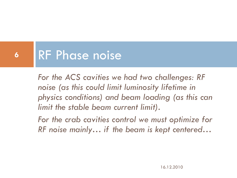#### RF Phase noise **6**

*For the ACS cavities we had two challenges: RF noise (as this could limit luminosity lifetime in physics conditions) and beam loading (as this can limit the stable beam current limit).* 

*For the crab cavities control we must optimize for RF noise mainly… if the beam is kept centered…*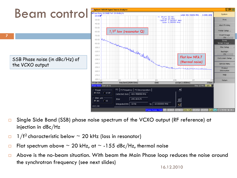

- Single Side Band (SSB) phase noise spectrum of the VCXO output (RF reference) at injection in dBc/Hz
- $\Box$  1/f<sup>2</sup> characteristic below  $\sim$  20 kHz (loss in resonator)
- $\Box$  Flat spectrum above  $\sim$  20 kHz, at  $\sim$  -155 dBc/Hz, thermal noise
- $\Box$  Above is the no-beam situation. With beam the Main Phase loop reduces the noise around the synchrotron frequency (see next slides)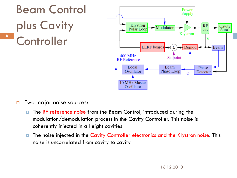

- $\Box$  Two major noise sources:
	- **The RF reference noise from the Beam Control, introduced during the** modulation/demodulation process in the Cavity Controller. This noise is coherently injected in all eight cavities
	- **The noise injected in the Cavity Controller electronics and the Klystron noise. This** noise is uncorrelated from cavity to cavity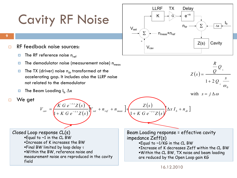### Cavity RF Noise



- RF feedback noise sources:
	- $\blacksquare$  The RF reference noise n<sub>ref</sub>
	- $\blacksquare$  The demodulator noise (measurement noise)  $n_{\rm max}$
	- **The TX (driver) noise n<sub>dr</sub> transformed at the** accelerating gap. It includes also the LLRF noise not related to the demodulator

 $(s)$ 

*s*

 $\overline{K}$  *G*  $e^{-\tau s}Z(s)$ 

-

 $\tau$ 

 $K$  *G*  $e^{-\tau s}Z(s)$ 

 $(s)$ 

 $V_{\text{set}} + n_{\text{ref}} + n$ 

- $\blacksquare$  The Beam Loading I<sub>b</sub>  $\Delta x$
- □ We get

**9**

 $(s)$  $\omega$  $\overline{+}$  $=$ *s Q Q Q R Z s L L*  $1 + 2$ 0

with 
$$
s = j \Delta \omega
$$

Closed Loop response CL(s) Equal to  $\sim$ 1 in the CL BW Increase of K increases the BW Final BW limited by loop delay  $\tau$ Within the BW, reference noise and measurement noise are reproduced in the cavity field

 $\ddot{}$ 

 $V_{\text{set}} + n_{\text{ref}} + n_{\text{meas}}$  $(s)$  $(s)$  $\int_{s}^{x}$   $\int_{s}^{y}$   $\int_{s}^{x}$  *f*  $f$  *n*<sub>ref</sub>  $f$  *n*<sub>meas</sub>  $\int_{s}^{x}$  *d*  $\int_{s}^{x}$  *d*  $f$  *d x*  $I_{b}$  *f*  $n$  *d<sub>r</sub>*  $\int$  $\alpha_v = \left( \frac{1}{1 - x} \frac{1}{\sqrt{2}} \frac{1}{\sqrt{2}} \frac{1}{\sqrt{2}} \frac{1}{\sqrt{2}} \frac{1}{\sqrt{2}} \frac{1}{\sqrt{2}} \frac{1}{\sqrt{2}} \frac{1}{\sqrt{2}} \frac{1}{\sqrt{2}} \frac{1}{\sqrt{2}} \frac{1}{\sqrt{2}} \frac{1}{\sqrt{2}} \frac{1}{\sqrt{2}} \frac{1}{\sqrt{2}} \frac{1}{\sqrt{2}} \frac{1}{\sqrt{2}} \frac{1}{\sqrt{2}} \frac{1}{\sqrt{2}} \frac{1}{\sqrt{2}} \frac{1}{\sqrt{2}} \frac{1$  $K$  *G*  $e^{-\tau s}Z(s)$ *Z s*  $V_{cw} = \frac{\left| \frac{1}{2} \left( \frac{b}{c} \right)^2 + n_{r\sigma} + n_{r\sigma} \right|}{\left| \frac{b}{c} \right|} + \left| \frac{1}{2} \left( \frac{b}{c} \right)^2 - \frac{1}{2} \left( \frac{b}{c} \right)^2 \right| \Delta x I_b +$  $\ddot{}$  $+ n_{ref} + n_{meas}$  +  $=\frac{1}{\left(1+K\right)^{2}}\left(1-\frac{1}{2}\right)^{2}\left(1-\frac{1}{2}\right)^{2}$  $TS \rightarrow I$  is the reference in the term of  $T$  $1 + K G e^{-\tau s} Z(s)$  is the set of the set of  $\Gamma$ 

> Beam Loading response = effective cavity impedance Zeff(s) Equal to ~1/KG in the CL BW Increase of K decreases Zeff within the CL BW Within the CL BW, TX noise and beam loading are reduced by the Open Loop gain KG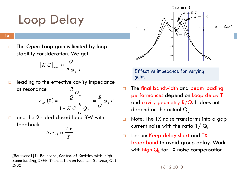### Loop Delay

**10**

 $\Box$  The Open-Loop gain is limited by loop stability consideration. We get

$$
[K \ G]_{\text{max}} \approx \frac{Q}{R \ \omega_0} \frac{1}{T}
$$

- $\Box$  leading to the effective cavity impedance at resonance  $(0) = \frac{z}{z} \approx -\omega_0 T$ *R Q Q R Z L*  $e^{gt}$  (v) –  $p$   $\sim$   $\sim$   $\omega_0$  $(0) = \frac{2}{\sqrt{2}} \approx \frac{1}{\sqrt{2}} \omega$  $=$
- $\Box$  and the 2-sided closed loop BW with feedback *Q Q Q R K G L* 1  $\ddot{}$

$$
\Delta \omega_{-3} \approx \frac{2.6}{T}
$$

[Boussard1] D. Boussard, Control of Cavities with High Beam loading, IEEE Transaction on Nuclear Science, Oct. 1985



Effective impedance for varying gains.

- The final bandwidth and beam loading performances depend on Loop delay T and cavity geometry  $R/Q$ . It does not depend on the actual  $Q_1$
- $\Box$  Note: The TX noise transforms into a gap current noise with the ratio  $1/\mathbf{Q}_1$
- □ Lesson: Keep delay short and TX broadband to avoid group delay. Work with <mark>high Q<sub>L</sub> for TX noise compensation</mark>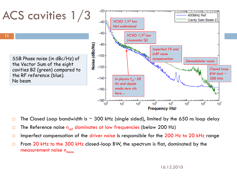

- $\Box$  The Closed Loop bandwidth is  $\sim$  300 kHz (single sided), limited by the 650 ns loop delay
- $\Box$  The Reference noise  $n_{ref}$  dominates at low frequencies (below 200 Hz)
- Imperfect compensation of the driver noise is responsible for the 200 Hz to 20 kHz range
- $\Box$  From 20 kHz to the 300 kHz closed-loop BW, the spectrum is flat, dominated by the measurement noise  $n_{meas}$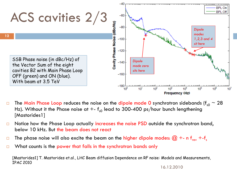

- $\Box$  The Main Phase Loop reduces the noise on the dipole mode 0 synchrotron sidebands (f<sub>s0</sub>  $\sim$  28 Hz). Without it the Phase noise at  $+$ -  $f_{s0}$  lead to 300-400 ps/hour bunch lengthening [Mastorides1]
- □ Notice how the Phase Loop actually increases the noise PSD outside the synchrotron band, below 10 kHz. But the beam does not react
- $\Box$  The phase noise will also excite the beam on the <mark>higher dipole modes:  $@$  +- n f<sub>rev</sub> +-f</mark><sub>s</sub>
- □ What counts is the power that falls in the synchrotron bands only

[Mastorides1] T. Mastorides et.al., LHC Beam diffusion Dependence on RF noise: Models and Measurements, IPAC 2010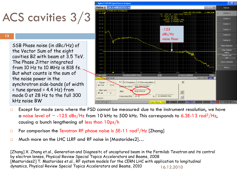### ACS cavities 3/3

#### **13**

SSB Phase noise (in dBc/Hz) of the Vector Sum of the eight cavities B2 with beam at 3.5 TeV. The Phase Jitter integrated from 10 Hz to 10 MHz is 818 fs. But what counts is the sum of the noise power in the synchrotron side-bands (of width  $=$  tune spread  $=$  4.4 Hz) from mode 0 at 28 Hz to the full 300 kHz noise BW



- $\Box$  Except for mode zero where the PSD cannot be measured due to the instrument resolution, we have a noise level of  $\sim$  -125 dBc/Hz from 10 kHz to 500 kHz. This corresponds to 6.3E-13 rad<sup>2</sup>/Hz, causing a bunch lengthening of less than 10ps/h
- $\Box$  For comparison the Tevatron RF phase noise is 5E-11 rad<sup>2</sup>/Hz [Zhang]
- □ Much more on the LHC LLRF and RF noise in [Mastorides2]...

16.12.2010 [Zhang] X. Zhang et.al., Generation and Diagnositc of uncaptured beam in the Fermilab Tevatron and its control by electron lenses, Physical Review Special Topics Accelerators and Beams, 2008 [Mastorides2] T. Mastorides et.al., RF system models for the CERN LHC with application to longitudinal dynamics, Physical Review Special Topics Accelerators and Beams, 2010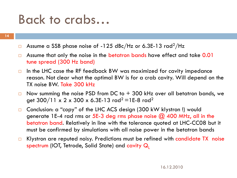### Back to crabs…

- $\Box$  Assume a SSB phase noise of -125 dBc/Hz or 6.3E-13 rad<sup>2</sup>/Hz
- $\Box$  Assume that only the noise in the betatron bands have effect and take 0.01 tune spread (300 Hz band)
- $\Box$  In the LHC case the RF feedback BW was maximized for cavity impedance reason. Not clear what the optimal BW is for a crab cavity. Will depend on the TX noise BW. Take 300 kHz
- $\Box$  Now summing the noise PSD from DC to + 300 kHz over all betatron bands, we get  $300/11 \times 2 \times 300 \times 6.3E-13$  rad<sup>2</sup> = 1E-8 rad<sup>2</sup>
- □ Conclusion: a "copy" of the LHC ACS design (300 kW klystron !) would generate 1E-4 rad rms or 5E-3 deg rms phase noise  $\omega$  400 MHz, all in the betatron band. Relatively in line with the tolerance quoted at LHC-CC08 but it must be confirmed by simulations with all noise power in the betatron bands
- □ Klystron are reputed noisy. Predictions must be refined with candidate TX noise spectrum (IOT, Tetrode, Solid State) and cavity  $Q_i$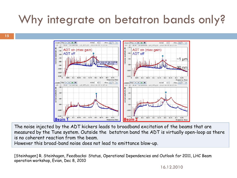### Why integrate on betatron bands only?



The noise injected by the ADT kickers leads to broadband excitation of the beams that are measured by the Tune system. Outside the betatron band the ADT is virtually open-loop as there is no coherent reaction from the beam.

However this broad-band noise does not lead to emittance blow-up.

[Steinhagen] R. Steinhagen, Feedbacks: Status, Operational Dependencies and Outlook for 2011, LHC Beam operation workshop, Evian, Dec 8, 2010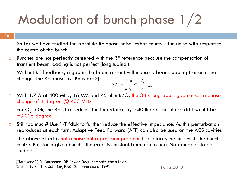## Modulation of bunch phase 1/2

**16**

- $\Box$  So far we have studied the absolute RF phase noise. What counts is the noise with respect to the centre of the bunch
- $\Box$  Bunches are not perfectly centered with the RF reference because the compensation of transient beam loading is not perfect (longitudinal)
- $\Box$  Without RF feedback, a gap in the beam current will induce a beam loading transient that changes the RF phase by [Boussard2]

$$
\Delta \phi = \frac{1}{2} \frac{R}{Q} \omega_0 \frac{I_b}{V} t_{gap}
$$

- $\Box$  With 1.7 A at 400 MHz, 16 MV, and 45 ohm R/Q, the 3 us long abort gap causes a phase change of 1 degree  $\omega$  400 MHz
- $\Box$  For Q<sub>1</sub>=60k, the RF fdbk reduces the impedance by ~40 linear. The phase drift would be  $\sim$ 0.025 degree
- $\Box$  Still too much? Use 1-T fdbk to further reduce the effective impedance. As this perturbation reproduces at each turn, Adaptive Feed Forward (AFF) can also be used on the ACS cavities
- $\Box$  The above effect is not a noise but a precision problem. It displaces the kick w.r.t. the bunch centre. But, for a given bunch, the error is constant from turn to turn. No damage? To be studied.

[Boussard2] D. Boussard, RF Power Requirements for a High Intensity Proton Collider, PAC, San Francisco, 1991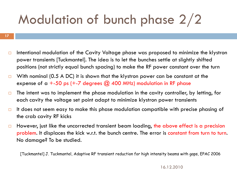## Modulation of bunch phase 2/2

- **17**
	- $\Box$  Intentional modulation of the Cavity Voltage phase was proposed to minimize the klystron power transients [Tuckmantel]. The idea is to let the bunches settle at slightly shifted positions (not strictly equal bunch spacing) to make the RF power constant over the turn
	- With nominal (0.5 A DC) it is shown that the klystron power can be constant at the expense of a  $+$ -50 ps (+-7 degrees  $\omega$  400 MHz) modulation in RF phase
	- $\Box$  The intent was to implement the phase modulation in the cavity controller, by letting, for each cavity the voltage set point adapt to minimize klystron power transients
	- $\Box$  It does not seem easy to make this phase modulation compatible with precise phasing of the crab cavity RF kicks
	- $\Box$  However, just like the uncorrected transient beam loading, the above effect is a precision problem. It displaces the kick w.r.t. the bunch centre. The error is constant from turn to turn. No damage? To be studied.

[Tuckmantel] J. Tuckmantel, Adaptive RF transient reduction for high intensity beams with gaps, EPAC 2006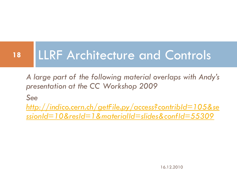### LLRF Architecture and Controls **18**

*A large part of the following material overlaps with Andy's presentation at the CC Workshop 2009*

*See* 

*[http://indico.cern.ch/getFile.py/access?contribId=105&se](http://indico.cern.ch/getFile.py/access?contribId=105&sessionId=10&resId=1&materialId=slides&confId=55309) [ssionId=10&resId=1&materialId=slides&confId=55309](http://indico.cern.ch/getFile.py/access?contribId=105&sessionId=10&resId=1&materialId=slides&confId=55309)*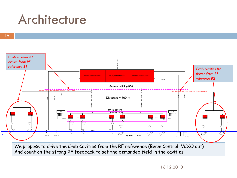### Architecture

**19**



We propose to drive the Crab Cavities from the RF reference (Beam Control, VCXO out) And count on the strong RF feedback to set the demanded field in the cavities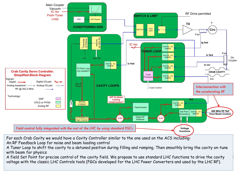

For each Crab Cavity we would have a Cavity Controller similar to the one used on the ACS including: An RF Feedback Loop for noise and beam loading control

A Tuner Loop to shift the cavity to a detuned position during filling and ramping. Then smoothly bring the cavity on-tune with beam for physics

A field Set Point for precise control of the cavity field. We propose to use standard LHC functions to drive the cavity  $\qquad$ voltage with the classic LHC Controls tools (FGCs developed for the LHC Power Converters and used by the LHC RF).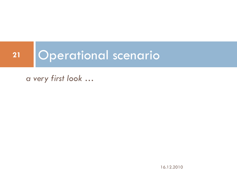### Operational scenario **21**

*a very first look …*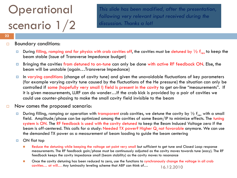### **Operational** scenario 1/2

*This slide has been modified, after the presentation, following very relevant input received during the discussion. Thanks a lot!*

#### **22**

#### Boundary conditions:

- During filling, ramping and for physics with crab cavities off, the cavities must be detuned by  $\frac{1}{2}$  f<sub>rev</sub> to keep the beam stable (issue of Transverse Impedance budget)
- Bringing the cavities from detuned to on-tune can only be done with active RF feedback ON. Else, the beam will be unstable (again…Transverse Impedance)
- In varying conditions (change of cavity tune) and given the unavoidable fluctuations of key parameters (for example varying cavity tune caused by the fluctuations of the He pressure) the situation can only be controlled if some (hopefully very small !) field is present in the cavity to get on-line "measurements". If it is given measurements, LLRF can do wonder…If the crab kick is provided by a pair of cavities we could use counter-phasing to make the small cavity field invisible to the beam
- $\Box$  Now comes the proposed scenario:
	- During filling, ramping or operation with transparent crab cavities, we detune the cavity by  $\frac{1}{2}$  f<sub>rev</sub> with a small field. Amplitude/phase can be optimized among the cavities of same Beam/IP to minimize effects. The tuning system is ON. The RF feedback is used with the cavity detuned to keep the Beam Induced Voltage zero if the beam is off-centered. This calls for a study: Needed TX power? Higher Q<sub>1</sub> not favorable anymore. We can use the demanded TX power as a measurement of beam loading to guide the beam centering
	- ON flat top
		- Reduce the detuning while keeping the voltage set point very small but sufficient to get tune and Closed Loop response measurements. The RF feedback gain/phase must be continuously adjusted as the cavity moves towards tune (easy). The RF feedback keeps the cavity impedance small (beam stability) as the cavity moves to resonance
		- 16.12.2010 **Drace the cavity detuning has been reduced to zero, use the functions to synchronously change the voltage in all crab** cavities… at will… Any luminosity leveling scheme that ABP can think of…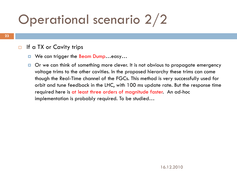## Operational scenario 2/2

#### $\Box$  If a TX or Cavity trips

- We can trigger the Beam Dump...easy...
- $\Box$  Or we can think of something more clever. It is not obvious to propagate emergency voltage trims to the other cavities. In the proposed hierarchy these trims can come though the Real-Time channel of the FGCs. This method is very successfully used for orbit and tune feedback in the LHC, with 100 ms update rate. But the response time required here is at least three orders of magnitude faster. An ad-hoc implementation is probably required. To be studied…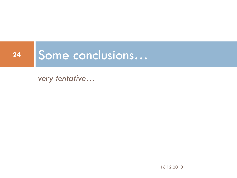### Some conclusions… **24**

*very tentative…*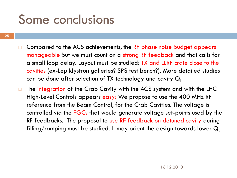### Some conclusions

- **25**
- $\Box$  Compared to the ACS achievements, the RF phase noise budget appears manageable but we must count on a strong RF feedback and that calls for a small loop delay. Layout must be studied: TX and LLRF crate close to the cavities (ex-Lep klystron galleries? SPS test bench?). More detailed studies can be done after selection of TX technology and cavity  $Q_1$
- The integration of the Crab Cavity with the ACS system and with the LHC High-Level Controls appears easy: We propose to use the 400 MHz RF reference from the Beam Control, for the Crab Cavities. The voltage is controlled via the FGCs that would generate voltage set-points used by the RF feedbacks. The proposal to use RF feedback on detuned cavity during filling/ramping must be studied. It may orient the design towards lower  $Q_1$